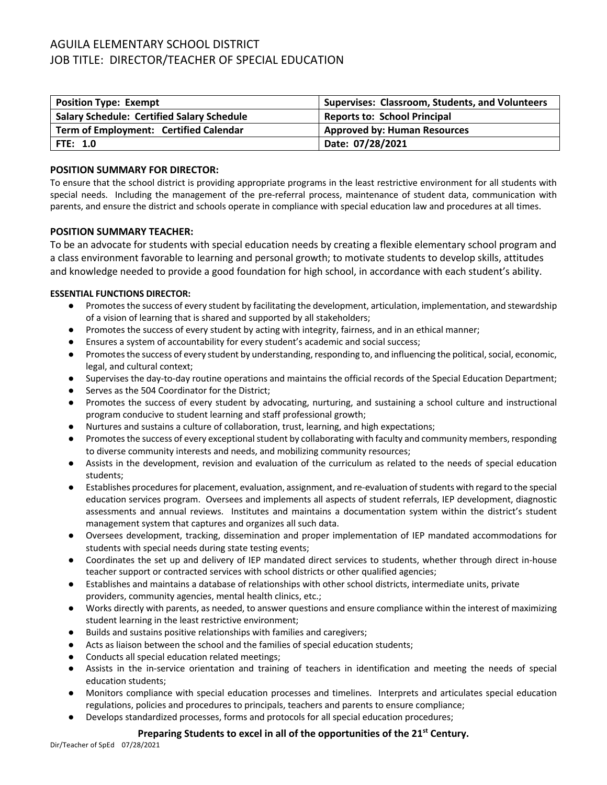# AGUILA ELEMENTARY SCHOOL DISTRICT JOB TITLE: DIRECTOR/TEACHER OF SPECIAL EDUCATION

| <b>Position Type: Exempt</b>                      | Supervises: Classroom, Students, and Volunteers |
|---------------------------------------------------|-------------------------------------------------|
| <b>Salary Schedule: Certified Salary Schedule</b> | <b>Reports to: School Principal</b>             |
| Term of Employment: Certified Calendar            | <b>Approved by: Human Resources</b>             |
| <b>FTE: 1.0</b>                                   | Date: 07/28/2021                                |

## **POSITION SUMMARY FOR DIRECTOR:**

To ensure that the school district is providing appropriate programs in the least restrictive environment for all students with special needs. Including the management of the pre-referral process, maintenance of student data, communication with parents, and ensure the district and schools operate in compliance with special education law and procedures at all times.

# **POSITION SUMMARY TEACHER:**

To be an advocate for students with special education needs by creating a flexible elementary school program and a class environment favorable to learning and personal growth; to motivate students to develop skills, attitudes and knowledge needed to provide a good foundation for high school, in accordance with each student's ability.

# **ESSENTIAL FUNCTIONS DIRECTOR:**

- Promotes the success of every student by facilitating the development, articulation, implementation, and stewardship of a vision of learning that is shared and supported by all stakeholders;
- Promotes the success of every student by acting with integrity, fairness, and in an ethical manner;
- Ensures a system of accountability for every student's academic and social success;
- Promotes the success of every student by understanding, responding to, and influencing the political, social, economic, legal, and cultural context;
- Supervises the day-to-day routine operations and maintains the official records of the Special Education Department;
- Serves as the 504 Coordinator for the District;
- Promotes the success of every student by advocating, nurturing, and sustaining a school culture and instructional program conducive to student learning and staff professional growth;
- Nurtures and sustains a culture of collaboration, trust, learning, and high expectations;
- Promotes the success of every exceptional student by collaborating with faculty and community members, responding to diverse community interests and needs, and mobilizing community resources;
- Assists in the development, revision and evaluation of the curriculum as related to the needs of special education students;
- Establishes procedures for placement, evaluation, assignment, and re-evaluation of students with regard to the special education services program. Oversees and implements all aspects of student referrals, IEP development, diagnostic assessments and annual reviews. Institutes and maintains a documentation system within the district's student management system that captures and organizes all such data.
- Oversees development, tracking, dissemination and proper implementation of IEP mandated accommodations for students with special needs during state testing events;
- Coordinates the set up and delivery of IEP mandated direct services to students, whether through direct in-house teacher support or contracted services with school districts or other qualified agencies;
- Establishes and maintains a database of relationships with other school districts, intermediate units, private providers, community agencies, mental health clinics, etc.;
- Works directly with parents, as needed, to answer questions and ensure compliance within the interest of maximizing student learning in the least restrictive environment;
- Builds and sustains positive relationships with families and caregivers;
- Acts as liaison between the school and the families of special education students;
- Conducts all special education related meetings;
- Assists in the in-service orientation and training of teachers in identification and meeting the needs of special education students;
- Monitors compliance with special education processes and timelines. Interprets and articulates special education regulations, policies and procedures to principals, teachers and parents to ensure compliance;
- Develops standardized processes, forms and protocols for all special education procedures;

# Preparing Students to excel in all of the opportunities of the 21<sup>st</sup> Century.

Dir/Teacher of SpEd 07/28/2021